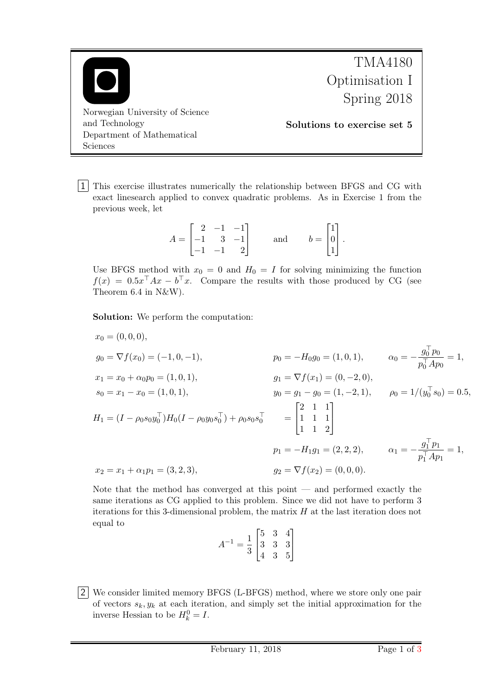

1 This exercise illustrates numerically the relationship between BFGS and CG with exact linesearch applied to convex quadratic problems. As in Exercise 1 from the previous week, let

$$
A = \begin{bmatrix} 2 & -1 & -1 \\ -1 & 3 & -1 \\ -1 & -1 & 2 \end{bmatrix} \quad \text{and} \quad b = \begin{bmatrix} 1 \\ 0 \\ 1 \end{bmatrix}.
$$

Use BFGS method with  $x_0 = 0$  and  $H_0 = I$  for solving minimizing the function  $f(x) = 0.5x^{\top}Ax - b^{\top}x$ . Compare the results with those produced by CG (see Theorem 6.4 in N&W).

Solution: We perform the computation:

$$
x_0 = (0, 0, 0),
$$
  
\n
$$
g_0 = \nabla f(x_0) = (-1, 0, -1),
$$
  
\n
$$
x_1 = x_0 + \alpha_0 p_0 = (1, 0, 1),
$$
  
\n
$$
s_0 = x_1 - x_0 = (1, 0, 1),
$$
  
\n
$$
H_1 = (I - \rho_0 s_0 y_0^\top) H_0 (I - \rho_0 y_0 s_0^\top) + \rho_0 s_0 s_0^\top = \begin{bmatrix} 2 & 1 & 1 \\ 1 & 1 & 1 \\ 1 & 1 & 2 \end{bmatrix}
$$
  
\n
$$
y_0 = g_1 - g_0 = (1, -2, 1),
$$
  
\n
$$
\rho_0 = 1/(y_0^\top s_0) = 0.5,
$$
  
\n
$$
H_1 = (I - \rho_0 s_0 y_0^\top) H_0 (I - \rho_0 y_0 s_0^\top) + \rho_0 s_0 s_0^\top = \begin{bmatrix} 2 & 1 & 1 \\ 1 & 1 & 1 \\ 1 & 1 & 2 \end{bmatrix}
$$
  
\n
$$
p_1 = -H_1 g_1 = (2, 2, 2),
$$
  
\n
$$
\alpha_1 = -\frac{g_1^\top p_1}{p_1^\top A p_1} = 1,
$$
  
\n
$$
x_2 = x_1 + \alpha_1 p_1 = (3, 2, 3),
$$
  
\n
$$
g_2 = \nabla f(x_2) = (0, 0, 0).
$$

Note that the method has converged at this point — and performed exactly the same iterations as CG applied to this problem. Since we did not have to perform 3 iterations for this 3-dimensional problem, the matrix  $H$  at the last iteration does not equal to

| $A^{-1} = \frac{1}{3} \begin{bmatrix} 5 & 3 & 4 \ 3 & 3 & 3 \ 4 & 3 & 5 \end{bmatrix}$ |  |  |
|----------------------------------------------------------------------------------------|--|--|

2 We consider limited memory BFGS (L-BFGS) method, where we store only one pair of vectors  $s_k, y_k$  at each iteration, and simply set the initial approximation for the inverse Hessian to be  $H_k^0 = I$ .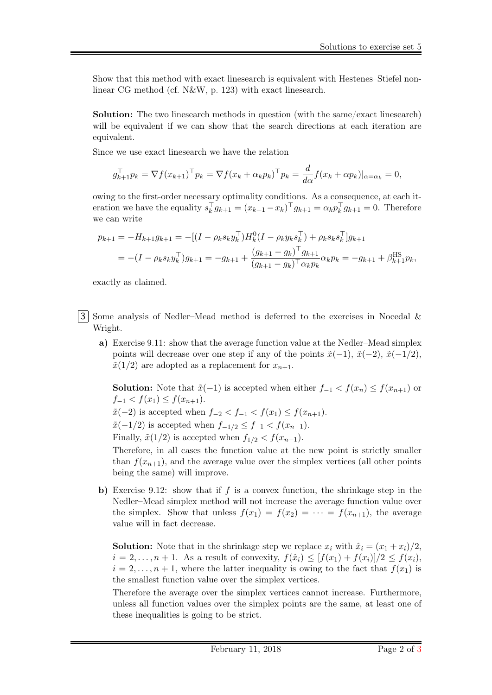Show that this method with exact linesearch is equivalent with Hestenes–Stiefel nonlinear CG method (cf. N&W, p. 123) with exact linesearch.

Solution: The two linesearch methods in question (with the same/exact linesearch) will be equivalent if we can show that the search directions at each iteration are equivalent.

Since we use exact linesearch we have the relation

$$
g_{k+1}^{\top} p_k = \nabla f(x_{k+1})^{\top} p_k = \nabla f(x_k + \alpha_k p_k)^{\top} p_k = \frac{d}{d\alpha} f(x_k + \alpha p_k)|_{\alpha = \alpha_k} = 0,
$$

owing to the first-order necessary optimality conditions. As a consequence, at each iteration we have the equality  $s_k^{\top} g_{k+1} = (x_{k+1} - x_k)^{\top} g_{k+1} = \alpha_k p_k^{\top} g_{k+1} = 0$ . Therefore we can write

$$
p_{k+1} = -H_{k+1}g_{k+1} = -[(I - \rho_k s_k y_k^\top)H_k^0 (I - \rho_k y_k s_k^\top) + \rho_k s_k s_k^\top]g_{k+1}
$$
  
= 
$$
-(I - \rho_k s_k y_k^\top)g_{k+1} = -g_{k+1} + \frac{(g_{k+1} - g_k)^\top g_{k+1}}{(g_{k+1} - g_k)^\top \alpha_k p_k} \alpha_k p_k = -g_{k+1} + \beta_{k+1}^{\text{HS}} p_k,
$$

exactly as claimed.

- 3 Some analysis of Nedler–Mead method is deferred to the exercises in Nocedal & Wright.
	- a) Exercise 9.11: show that the average function value at the Nedler–Mead simplex points will decrease over one step if any of the points  $\tilde{x}(-1), \tilde{x}(-2), \tilde{x}(-1/2)$ ,  $\tilde{x}(1/2)$  are adopted as a replacement for  $x_{n+1}$ .

**Solution:** Note that  $\tilde{x}(-1)$  is accepted when either  $f_{-1} < f(x_n) \leq f(x_{n+1})$  or  $f_{-1} < f(x_1) \leq f(x_{n+1}).$ 

 $\tilde{x}(-2)$  is accepted when  $f_{-2} < f_{-1} < f(x_1) \le f(x_{n+1})$ .

 $\tilde{x}(-1/2)$  is accepted when  $f_{-1/2} \leq f_{-1} < f(x_{n+1})$ .

Finally,  $\tilde{x}(1/2)$  is accepted when  $f_{1/2} < f(x_{n+1})$ .

Therefore, in all cases the function value at the new point is strictly smaller than  $f(x_{n+1})$ , and the average value over the simplex vertices (all other points being the same) will improve.

b) Exercise 9.12: show that if f is a convex function, the shrinkage step in the Nedler–Mead simplex method will not increase the average function value over the simplex. Show that unless  $f(x_1) = f(x_2) = \cdots = f(x_{n+1})$ , the average value will in fact decrease.

**Solution:** Note that in the shrinkage step we replace  $x_i$  with  $\hat{x}_i = (x_1 + x_i)/2$ ,  $i = 2, \ldots, n + 1$ . As a result of convexity,  $f(\hat{x}_i) \leq [f(x_1) + f(x_i)]/2 \leq f(x_i)$ ,  $i = 2, \ldots, n + 1$ , where the latter inequality is owing to the fact that  $f(x_1)$  is the smallest function value over the simplex vertices.

Therefore the average over the simplex vertices cannot increase. Furthermore, unless all function values over the simplex points are the same, at least one of these inequalities is going to be strict.